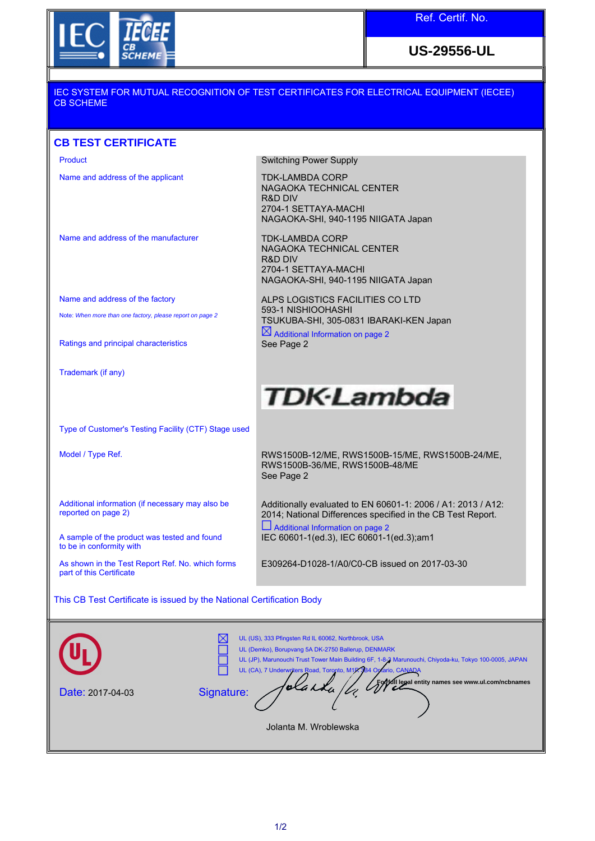

**US-29556-UL**

## IEC SYSTEM FOR MUTUAL RECOGNITION OF TEST CERTIFICATES FOR ELECTRICAL EQUIPMENT (IECEE) CB SCHEME

## **CB TEST CERTIFICATE**

| Product                                                                                                                                                                                                                                                                              | Switching Power Supply                                                                                                           |
|--------------------------------------------------------------------------------------------------------------------------------------------------------------------------------------------------------------------------------------------------------------------------------------|----------------------------------------------------------------------------------------------------------------------------------|
| Name and address of the applicant                                                                                                                                                                                                                                                    | <b>TDK-LAMBDA CORP</b><br>NAGAOKA TECHNICAL CENTER<br>R&D DIV<br>2704-1 SETTAYA-MACHI<br>NAGAOKA-SHI, 940-1195 NIIGATA Japan     |
| Name and address of the manufacturer                                                                                                                                                                                                                                                 | TDK-LAMBDA CORP<br>NAGAOKA TECHNICAL CENTER<br><b>R&amp;D DIV</b><br>2704-1 SETTAYA-MACHI<br>NAGAOKA-SHI, 940-1195 NIIGATA Japan |
| Name and address of the factory                                                                                                                                                                                                                                                      | ALPS LOGISTICS FACILITIES CO LTD                                                                                                 |
| Note: When more than one factory, please report on page 2                                                                                                                                                                                                                            | 593-1 NISHIOOHASHI<br>TSUKUBA-SHI, 305-0831 IBARAKI-KEN Japan<br>$\boxtimes$ Additional Information on page 2                    |
| Ratings and principal characteristics                                                                                                                                                                                                                                                | See Page 2                                                                                                                       |
| Trademark (if any)                                                                                                                                                                                                                                                                   |                                                                                                                                  |
|                                                                                                                                                                                                                                                                                      | <b>TDK-Lambda</b>                                                                                                                |
| Type of Customer's Testing Facility (CTF) Stage used                                                                                                                                                                                                                                 |                                                                                                                                  |
| Model / Type Ref.                                                                                                                                                                                                                                                                    | RWS1500B-12/ME, RWS1500B-15/ME, RWS1500B-24/ME,<br>RWS1500B-36/ME, RWS1500B-48/ME<br>See Page 2                                  |
| Additional information (if necessary may also be<br>reported on page 2)                                                                                                                                                                                                              | Additionally evaluated to EN 60601-1: 2006 / A1: 2013 / A12:<br>2014; National Differences specified in the CB Test Report.      |
| A sample of the product was tested and found<br>to be in conformity with                                                                                                                                                                                                             | $\Box$ Additional Information on page 2<br>IEC 60601-1(ed.3), IEC 60601-1(ed.3);am1                                              |
| As shown in the Test Report Ref. No. which forms<br>part of this Certificate                                                                                                                                                                                                         | E309264-D1028-1/A0/C0-CB issued on 2017-03-30                                                                                    |
| This CB Test Certificate is issued by the National Certification Body                                                                                                                                                                                                                |                                                                                                                                  |
| UL (US), 333 Pfingsten Rd IL 60062, Northbrook, USA<br>UL (Demko), Borupvang 5A DK-2750 Ballerup, DENMARK<br>UL (JP), Marunouchi Trust Tower Main Building 6F, 1-8-3 Marunouchi, Chiyoda-ku, Tokyo 100-0005, JAPAN<br>UL (CA), 7 Underwriters Road, Toronto, M1X 3B4 Optario, CANADA |                                                                                                                                  |
| dil legal entity names see www.ul.com/ncbnames<br>olaska<br>Signature:<br>Date: 2017-04-03                                                                                                                                                                                           |                                                                                                                                  |

Jolanta M. Wroblewska

 $\overline{\phantom{a}}$